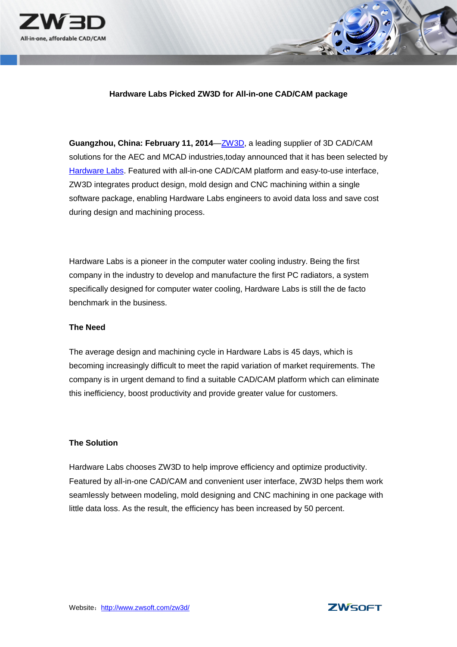

## **Hardware Labs Picked ZW3D for All-in-one CAD/CAM package**

**Guangzhou, China: February 11, 2014**[—ZW3D,](http://www.zwsoft.com/zw3d/index.html) a leading supplier of 3D CAD/CAM solutions for the AEC and MCAD industries,today announced that it has been selected by [Hardware Labs.](http://www.hwlabs.com/) Featured with all-in-one CAD/CAM platform and easy-to-use interface, ZW3D integrates product design, mold design and CNC machining within a single software package, enabling Hardware Labs engineers to avoid data loss and save cost during design and machining process.

Hardware Labs is a pioneer in the computer water cooling industry. Being the first company in the industry to develop and manufacture the first PC radiators, a system specifically designed for computer water cooling, Hardware Labs is still the de facto benchmark in the business.

### **The Need**

The average design and machining cycle in Hardware Labs is 45 days, which is becoming increasingly difficult to meet the rapid variation of market requirements. The company is in urgent demand to find a suitable CAD/CAM platform which can eliminate this inefficiency, boost productivity and provide greater value for customers.

## **The Solution**

Hardware Labs chooses ZW3D to help improve efficiency and optimize productivity. Featured by all-in-one CAD/CAM and convenient user interface, ZW3D helps them work seamlessly between modeling, mold designing and CNC machining in one package with little data loss. As the result, the efficiency has been increased by 50 percent.

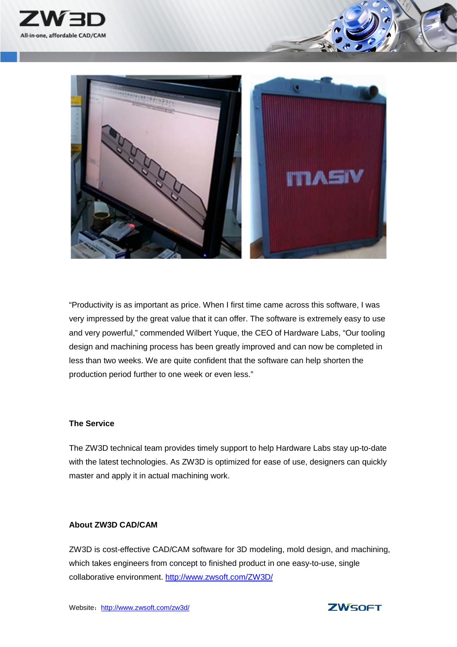



"Productivity is as important as price. When I first time came across this software, I was very impressed by the great value that it can offer. The software is extremely easy to use and very powerful," commended Wilbert Yuque, the CEO of Hardware Labs, "Our tooling design and machining process has been greatly improved and can now be completed in less than two weeks. We are quite confident that the software can help shorten the production period further to one week or even less."

## **The Service**

The ZW3D technical team provides timely support to help Hardware Labs stay up-to-date with the latest technologies. As ZW3D is optimized for ease of use, designers can quickly master and apply it in actual machining work.

# **About ZW3D CAD/CAM**

ZW3D is cost-effective CAD/CAM software for 3D modeling, mold design, and machining, which takes engineers from concept to finished product in one easy-to-use, single collaborative environment.<http://www.zwsoft.com/ZW3D/>